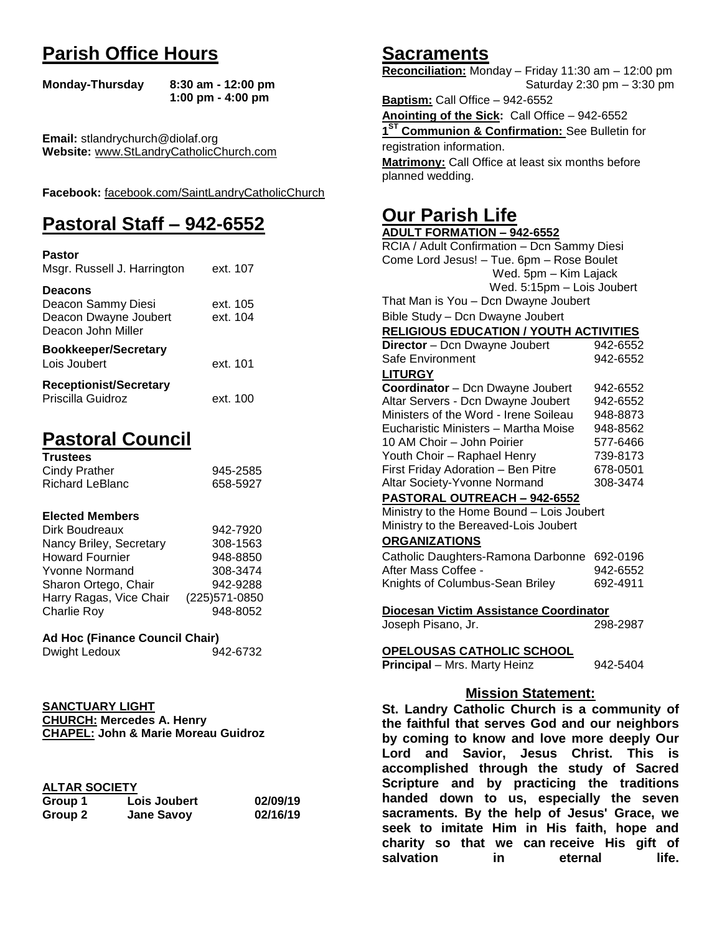## **Parish Office Hours**

```
Monday-Thursday 8:30 am - 12:00 pm
       1:00 pm - 4:00 pm
```
**Email:** stlandrychurch@diolaf.org **Website:** [www.StLandryCatholicChurch.com](http://www.stlandrycatholicchurch.com/)

**Facebook:** [facebook.com/SaintLandryCatholicChurch](http://facebook.com/SaintLandryCatholicChurch)

## **Pastoral Staff – 942-6552**

| <b>Pastor</b><br>Msgr. Russell J. Harrington                                        | ext. 107             |
|-------------------------------------------------------------------------------------|----------------------|
| <b>Deacons</b><br>Deacon Sammy Diesi<br>Deacon Dwayne Joubert<br>Deacon John Miller | ext. 105<br>ext. 104 |
| <b>Bookkeeper/Secretary</b><br>Lois Joubert                                         | ext. 101             |
| <b>Receptionist/Secretary</b><br>Priscilla Guidroz                                  | ext. 100             |

## **Pastoral Council**

| <b>Trustees</b> |          |
|-----------------|----------|
| Cindy Prather   | 945-2585 |
| Richard LeBlanc | 658-5927 |

#### **Elected Members**

| Dirk Boudreaux          | 942-7920       |
|-------------------------|----------------|
| Nancy Briley, Secretary | 308-1563       |
| <b>Howard Fournier</b>  | 948-8850       |
| <b>Yvonne Normand</b>   | 308-3474       |
| Sharon Ortego, Chair    | 942-9288       |
| Harry Ragas, Vice Chair | (225) 571-0850 |
| <b>Charlie Roy</b>      | 948-8052       |

#### **Ad Hoc (Finance Council Chair)**

```
Dwight Ledoux 942-6732
```

| <b>SANCTUARY LIGHT</b>                         |  |
|------------------------------------------------|--|
| <b>CHURCH: Mercedes A. Henry</b>               |  |
| <b>CHAPEL: John &amp; Marie Moreau Guidroz</b> |  |

| <b>ALTAR SOCIETY</b> |
|----------------------|
|                      |

| . <i>.</i> |                   |          |
|------------|-------------------|----------|
| Group 1    | Lois Joubert      | 02/09/19 |
| Group 2    | <b>Jane Savoy</b> | 02/16/19 |

## **Sacraments**

**Reconciliation:** Monday – Friday 11:30 am – 12:00 pm Saturday 2:30 pm – 3:30 pm

**Baptism:** Call Office – 942-6552 **Anointing of the Sick:** Call Office – 942-6552 **1 ST Communion & Confirmation:** See Bulletin for registration information. **Matrimony:** Call Office at least six months before planned wedding.

## **Our Parish Life**

| <b>ADULT FORMATION - 942-6552</b>              |          |  |
|------------------------------------------------|----------|--|
| RCIA / Adult Confirmation - Dcn Sammy Diesi    |          |  |
| Come Lord Jesus! - Tue. 6pm - Rose Boulet      |          |  |
| Wed. 5pm - Kim Lajack                          |          |  |
| Wed. 5:15pm - Lois Joubert                     |          |  |
| That Man is You - Dcn Dwayne Joubert           |          |  |
| Bible Study - Dcn Dwayne Joubert               |          |  |
| <b>RELIGIOUS EDUCATION / YOUTH ACTIVITIES</b>  |          |  |
| Director - Dcn Dwayne Joubert                  | 942-6552 |  |
| Safe Environment                               | 942-6552 |  |
| <b>LITURGY</b>                                 |          |  |
| Coordinator - Dcn Dwayne Joubert               | 942-6552 |  |
| Altar Servers - Dcn Dwayne Joubert             | 942-6552 |  |
| Ministers of the Word - Irene Soileau          | 948-8873 |  |
| Eucharistic Ministers - Martha Moise           | 948-8562 |  |
| 10 AM Choir - John Poirier                     | 577-6466 |  |
| Youth Choir - Raphael Henry                    | 739-8173 |  |
| First Friday Adoration - Ben Pitre             | 678-0501 |  |
| Altar Society-Yvonne Normand                   | 308-3474 |  |
| PASTORAL OUTREACH - 942-6552                   |          |  |
| Ministry to the Home Bound - Lois Joubert      |          |  |
| Ministry to the Bereaved-Lois Joubert          |          |  |
| <b>ORGANIZATIONS</b>                           |          |  |
| Catholic Daughters-Ramona Darbonne             | 692-0196 |  |
| After Mass Coffee -                            | 942-6552 |  |
| Knights of Columbus-Sean Briley                | 692-4911 |  |
|                                                |          |  |
| Diocesan Victim Assistance Coordinator         |          |  |
| Joseph Pisano, Jr.                             | 298-2987 |  |
|                                                |          |  |
| <b>OPELOUSAS CATHOLIC SCHOOL</b>               |          |  |
| Principal - Mrs. Marty Heinz                   | 942-5404 |  |
|                                                |          |  |
| <b>Mission Statement:</b>                      |          |  |
| St. Landry Catholic Church is a community of   |          |  |
| the faithful that serves God and our neighbors |          |  |
| by coming to know and love more deeply Our     |          |  |
| Lord and Savior, Jesus Christ, This is         |          |  |

**by coming to know and love more deeply Our Lord and Savior, Jesus Christ. This is accomplished through the study of Sacred Scripture and by practicing the traditions handed down to us, especially the seven sacraments. By the help of Jesus' Grace, we seek to imitate Him in His faith, hope and charity so that we can receive His gift of salvation in** eternal life.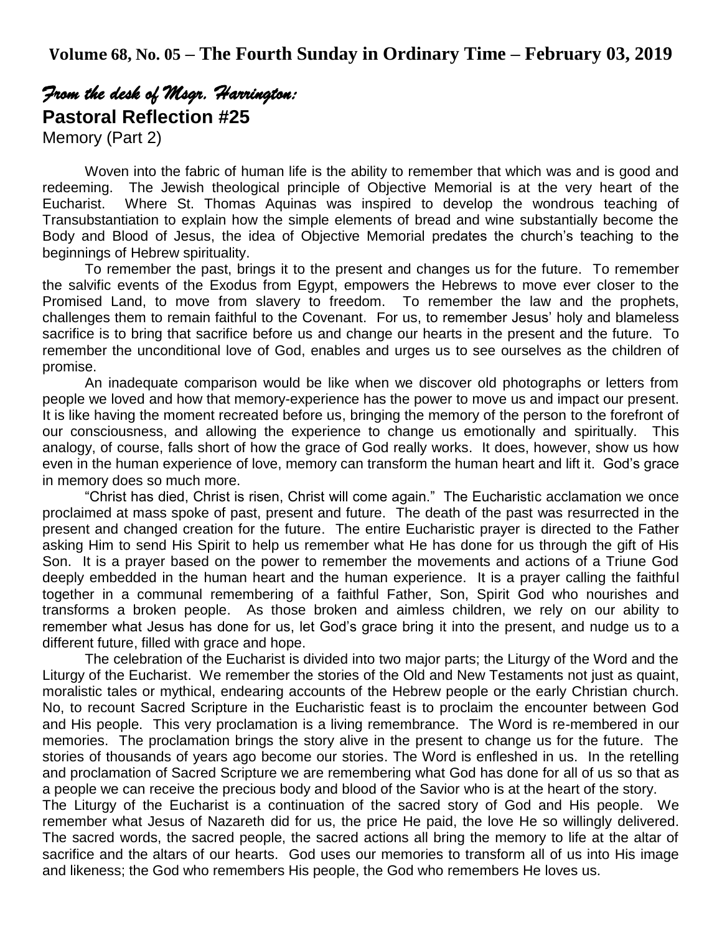# *From the desk of Msgr. Harrington:*  **Pastoral Reflection #25**

Memory (Part 2)

Woven into the fabric of human life is the ability to remember that which was and is good and redeeming. The Jewish theological principle of Objective Memorial is at the very heart of the Eucharist. Where St. Thomas Aquinas was inspired to develop the wondrous teaching of Transubstantiation to explain how the simple elements of bread and wine substantially become the Body and Blood of Jesus, the idea of Objective Memorial predates the church's teaching to the beginnings of Hebrew spirituality.

To remember the past, brings it to the present and changes us for the future. To remember the salvific events of the Exodus from Egypt, empowers the Hebrews to move ever closer to the Promised Land, to move from slavery to freedom. To remember the law and the prophets, challenges them to remain faithful to the Covenant. For us, to remember Jesus' holy and blameless sacrifice is to bring that sacrifice before us and change our hearts in the present and the future. To remember the unconditional love of God, enables and urges us to see ourselves as the children of promise.

An inadequate comparison would be like when we discover old photographs or letters from people we loved and how that memory-experience has the power to move us and impact our present. It is like having the moment recreated before us, bringing the memory of the person to the forefront of our consciousness, and allowing the experience to change us emotionally and spiritually. This analogy, of course, falls short of how the grace of God really works. It does, however, show us how even in the human experience of love, memory can transform the human heart and lift it. God's grace in memory does so much more.

"Christ has died, Christ is risen, Christ will come again." The Eucharistic acclamation we once proclaimed at mass spoke of past, present and future. The death of the past was resurrected in the present and changed creation for the future. The entire Eucharistic prayer is directed to the Father asking Him to send His Spirit to help us remember what He has done for us through the gift of His Son. It is a prayer based on the power to remember the movements and actions of a Triune God deeply embedded in the human heart and the human experience. It is a prayer calling the faithful together in a communal remembering of a faithful Father, Son, Spirit God who nourishes and transforms a broken people. As those broken and aimless children, we rely on our ability to remember what Jesus has done for us, let God's grace bring it into the present, and nudge us to a different future, filled with grace and hope.

The celebration of the Eucharist is divided into two major parts; the Liturgy of the Word and the Liturgy of the Eucharist. We remember the stories of the Old and New Testaments not just as quaint, moralistic tales or mythical, endearing accounts of the Hebrew people or the early Christian church. No, to recount Sacred Scripture in the Eucharistic feast is to proclaim the encounter between God and His people. This very proclamation is a living remembrance. The Word is re-membered in our memories. The proclamation brings the story alive in the present to change us for the future. The stories of thousands of years ago become our stories. The Word is enfleshed in us. In the retelling and proclamation of Sacred Scripture we are remembering what God has done for all of us so that as a people we can receive the precious body and blood of the Savior who is at the heart of the story.

The Liturgy of the Eucharist is a continuation of the sacred story of God and His people. We remember what Jesus of Nazareth did for us, the price He paid, the love He so willingly delivered. The sacred words, the sacred people, the sacred actions all bring the memory to life at the altar of sacrifice and the altars of our hearts. God uses our memories to transform all of us into His image and likeness; the God who remembers His people, the God who remembers He loves us.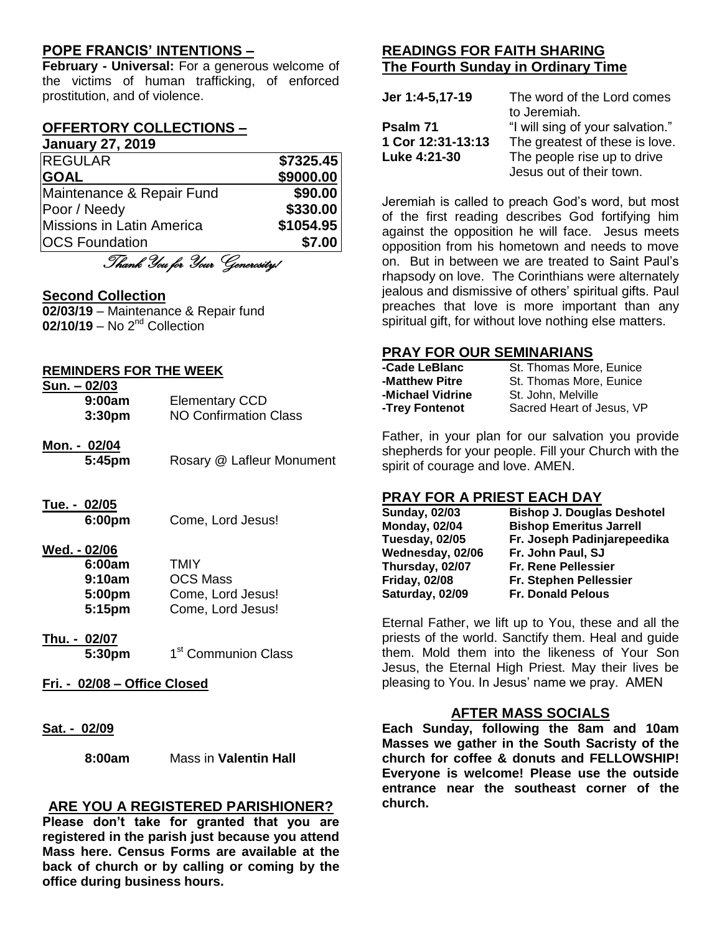### **POPE FRANCIS' INTENTIONS –**

**February - Universal:** For a generous welcome of the victims of human trafficking, of enforced prostitution, and of violence.

#### **OFFERTORY COLLECTIONS – January 27, 2019**

| <b>VUITUUL Y EI LEVIV</b>              |           |
|----------------------------------------|-----------|
| <b>REGULAR</b>                         | \$7325.45 |
| <b>GOAL</b>                            | \$9000.00 |
| Maintenance & Repair Fund              | \$90.00   |
| Poor / Needy                           | \$330.00  |
| Missions in Latin America              | \$1054.95 |
| <b>OCS Foundation</b>                  | \$7.00    |
| $\pi$ , $\alpha$ , $\alpha$ , $\alpha$ |           |

Thank You for Your Generosity!

#### **Second Collection**

**02/03/19** – Maintenance & Repair fund 02/10/19 – No 2<sup>nd</sup> Collection

#### **REMINDERS FOR THE WEEK**

| $Sun. - 02/03$     |                       |
|--------------------|-----------------------|
| 9:00am             | <b>Elementary CCD</b> |
| 3:30 <sub>pm</sub> | NO Confirmation Class |

**Mon. - 02/04 5:45pm** Rosary @ Lafleur Monument

# **Tue. - 02/05**

**6:00pm** Come, Lord Jesus!

#### **Wed. - 02/06**

| 6:00am | <b>TMIY</b>       |
|--------|-------------------|
| 9:10am | <b>OCS Mass</b>   |
| 5:00pm | Come, Lord Jesus! |
| 5:15pm | Come, Lord Jesus! |

- **Thu. - 02/07 5:30pm** 1 1<sup>st</sup> Communion Class
- **Fri. - 02/08 – Office Closed**
- **Sat. - 02/09**

**8:00am** Mass in **Valentin Hall**

#### **ARE YOU A REGISTERED PARISHIONER?**

**Please don't take for granted that you are registered in the parish just because you attend Mass here. Census Forms are available at the back of church or by calling or coming by the office during business hours.**

### **READINGS FOR FAITH SHARING The Fourth Sunday in Ordinary Time**

| Jer 1:4-5,17-19   | The word of the Lord comes       |
|-------------------|----------------------------------|
|                   | to Jeremiah.                     |
| Psalm 71          | "I will sing of your salvation." |
| 1 Cor 12:31-13:13 | The greatest of these is love.   |
| Luke 4:21-30      | The people rise up to drive      |
|                   | Jesus out of their town.         |

Jeremiah is called to preach God's word, but most of the first reading describes God fortifying him against the opposition he will face. Jesus meets opposition from his hometown and needs to move on. But in between we are treated to Saint Paul's rhapsody on love. The Corinthians were alternately jealous and dismissive of others' spiritual gifts. Paul preaches that love is more important than any spiritual gift, for without love nothing else matters.

#### **PRAY FOR OUR SEMINARIANS**

| -Cade LeBlanc    | St. Thomas More, Eunice   |
|------------------|---------------------------|
| -Matthew Pitre   | St. Thomas More, Eunice   |
| -Michael Vidrine | St. John. Melville        |
| -Trey Fontenot   | Sacred Heart of Jesus, VP |

Father, in your plan for our salvation you provide shepherds for your people. Fill your Church with the spirit of courage and love. AMEN.

#### **PRAY FOR A PRIEST EACH DAY**

| <b>Bishop J. Douglas Deshotel</b> |
|-----------------------------------|
| <b>Bishop Emeritus Jarrell</b>    |
| Fr. Joseph Padinjarepeedika       |
| Fr. John Paul, SJ                 |
| <b>Fr. Rene Pellessier</b>        |
| Fr. Stephen Pellessier            |
| <b>Fr. Donald Pelous</b>          |
|                                   |

Eternal Father, we lift up to You, these and all the priests of the world. Sanctify them. Heal and guide them. Mold them into the likeness of Your Son Jesus, the Eternal High Priest. May their lives be pleasing to You. In Jesus' name we pray. AMEN

#### **AFTER MASS SOCIALS**

**Each Sunday, following the 8am and 10am Masses we gather in the South Sacristy of the church for coffee & donuts and FELLOWSHIP! Everyone is welcome! Please use the outside entrance near the southeast corner of the church.**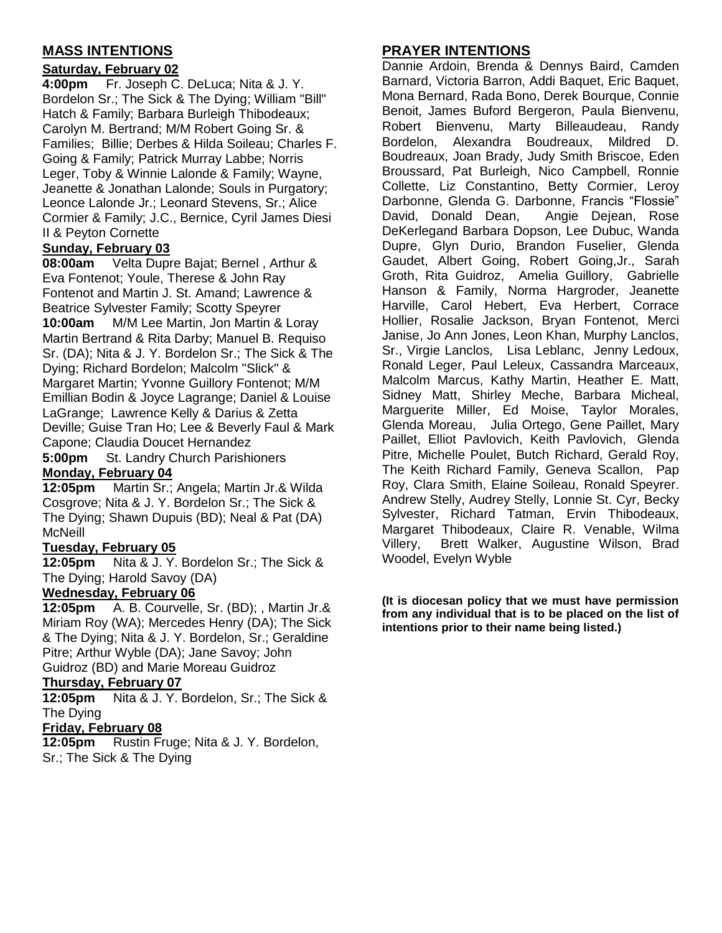### **MASS INTENTIONS**

#### **Saturday, February 02**

**4:00pm** Fr. Joseph C. DeLuca; Nita & J. Y. Bordelon Sr.; The Sick & The Dying; William "Bill" Hatch & Family; Barbara Burleigh Thibodeaux; Carolyn M. Bertrand; M/M Robert Going Sr. & Families; Billie; Derbes & Hilda Soileau; Charles F. Going & Family; Patrick Murray Labbe; Norris Leger, Toby & Winnie Lalonde & Family; Wayne, Jeanette & Jonathan Lalonde; Souls in Purgatory; Leonce Lalonde Jr.; Leonard Stevens, Sr.; Alice Cormier & Family; J.C., Bernice, Cyril James Diesi II & Peyton Cornette

#### **Sunday, February 03**

**08:00am** Velta Dupre Bajat; Bernel , Arthur & Eva Fontenot; Youle, Therese & John Ray Fontenot and Martin J. St. Amand; Lawrence & Beatrice Sylvester Family; Scotty Speyrer

**10:00am** M/M Lee Martin, Jon Martin & Loray Martin Bertrand & Rita Darby; Manuel B. Requiso Sr. (DA); Nita & J. Y. Bordelon Sr.; The Sick & The Dying; Richard Bordelon; Malcolm "Slick" & Margaret Martin; Yvonne Guillory Fontenot; M/M Emillian Bodin & Joyce Lagrange; Daniel & Louise LaGrange; Lawrence Kelly & Darius & Zetta Deville; Guise Tran Ho; Lee & Beverly Faul & Mark Capone; Claudia Doucet Hernandez

**5:00pm** St. Landry Church Parishioners **Monday, February 04**

**12:05pm** Martin Sr.; Angela; Martin Jr.& Wilda Cosgrove; Nita & J. Y. Bordelon Sr.; The Sick & The Dying; Shawn Dupuis (BD); Neal & Pat (DA) **McNeill** 

#### **Tuesday, February 05**

**12:05pm** Nita & J. Y. Bordelon Sr.; The Sick & The Dying; Harold Savoy (DA)

#### **Wednesday, February 06**

**12:05pm** A. B. Courvelle, Sr. (BD); , Martin Jr.& Miriam Roy (WA); Mercedes Henry (DA); The Sick & The Dying; Nita & J. Y. Bordelon, Sr.; Geraldine Pitre; Arthur Wyble (DA); Jane Savoy; John Guidroz (BD) and Marie Moreau Guidroz

#### **Thursday, February 07**

**12:05pm** Nita & J. Y. Bordelon, Sr.; The Sick & The Dying

#### **Friday, February 08**

**12:05pm** Rustin Fruge; Nita & J. Y. Bordelon, Sr.; The Sick & The Dying

### **PRAYER INTENTIONS**

Dannie Ardoin, Brenda & Dennys Baird, Camden Barnard, Victoria Barron, Addi Baquet, Eric Baquet, Mona Bernard, Rada Bono, Derek Bourque, Connie Benoit, James Buford Bergeron, Paula Bienvenu, Robert Bienvenu, Marty Billeaudeau, Randy Bordelon, Alexandra Boudreaux, Mildred D. Boudreaux, Joan Brady, Judy Smith Briscoe, Eden Broussard, Pat Burleigh, Nico Campbell, Ronnie Collette, Liz Constantino, Betty Cormier, Leroy Darbonne, Glenda G. Darbonne, Francis "Flossie" David, Donald Dean, Angie Dejean, Rose DeKerlegand Barbara Dopson, Lee Dubuc, Wanda Dupre, Glyn Durio, Brandon Fuselier, Glenda Gaudet, Albert Going, Robert Going,Jr., Sarah Groth, Rita Guidroz, Amelia Guillory, Gabrielle Hanson & Family, Norma Hargroder, Jeanette Harville, Carol Hebert, Eva Herbert, Corrace Hollier, Rosalie Jackson, Bryan Fontenot, Merci Janise, Jo Ann Jones, Leon Khan, Murphy Lanclos, Sr., Virgie Lanclos, Lisa Leblanc, Jenny Ledoux, Ronald Leger, Paul Leleux, Cassandra Marceaux, Malcolm Marcus, Kathy Martin, Heather E. Matt, Sidney Matt, Shirley Meche, Barbara Micheal, Marguerite Miller, Ed Moise, Taylor Morales, Glenda Moreau, Julia Ortego, Gene Paillet, Mary Paillet, Elliot Pavlovich, Keith Pavlovich, Glenda Pitre, Michelle Poulet, Butch Richard, Gerald Roy, The Keith Richard Family, Geneva Scallon, Pap Roy, Clara Smith, Elaine Soileau, Ronald Speyrer. Andrew Stelly, Audrey Stelly, Lonnie St. Cyr, Becky Sylvester, Richard Tatman, Ervin Thibodeaux, Margaret Thibodeaux, Claire R. Venable, Wilma Villery, Brett Walker, Augustine Wilson, Brad Woodel, Evelyn Wyble

**(It is diocesan policy that we must have permission from any individual that is to be placed on the list of intentions prior to their name being listed.)**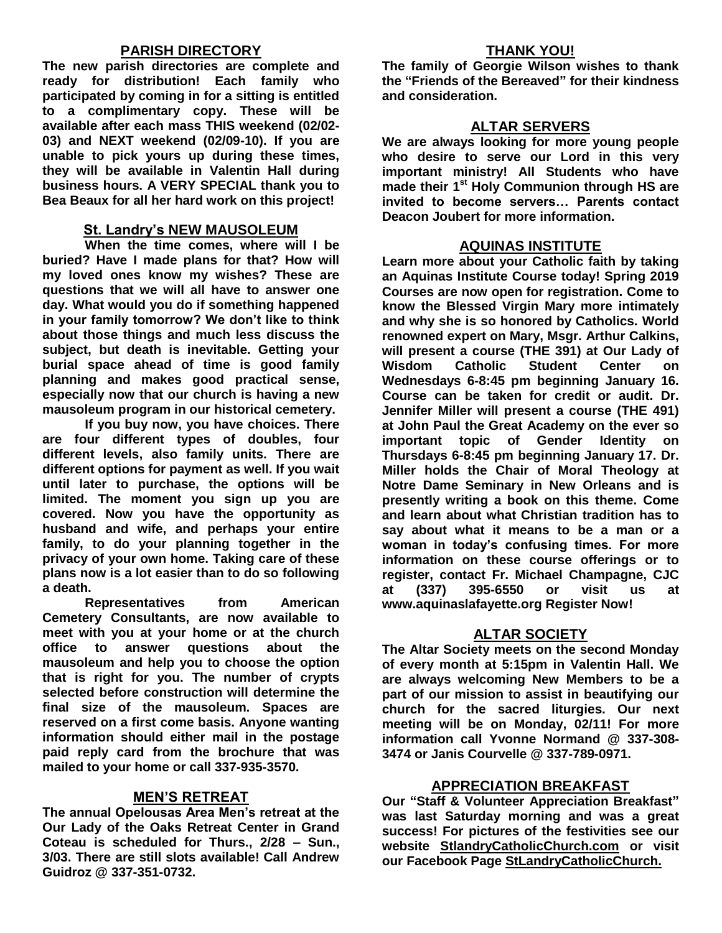#### **PARISH DIRECTORY**

**The new parish directories are complete and ready for distribution! Each family who participated by coming in for a sitting is entitled to a complimentary copy. These will be available after each mass THIS weekend (02/02- 03) and NEXT weekend (02/09-10). If you are unable to pick yours up during these times, they will be available in Valentin Hall during business hours. A VERY SPECIAL thank you to Bea Beaux for all her hard work on this project!**

#### **St. Landry's NEW MAUSOLEUM**

**When the time comes, where will I be buried? Have I made plans for that? How will my loved ones know my wishes? These are questions that we will all have to answer one day. What would you do if something happened in your family tomorrow? We don't like to think about those things and much less discuss the subject, but death is inevitable. Getting your burial space ahead of time is good family planning and makes good practical sense, especially now that our church is having a new mausoleum program in our historical cemetery.**

**If you buy now, you have choices. There are four different types of doubles, four different levels, also family units. There are different options for payment as well. If you wait until later to purchase, the options will be limited. The moment you sign up you are covered. Now you have the opportunity as husband and wife, and perhaps your entire family, to do your planning together in the privacy of your own home. Taking care of these plans now is a lot easier than to do so following a death.**

**Representatives from American Cemetery Consultants, are now available to meet with you at your home or at the church office to answer questions about the mausoleum and help you to choose the option that is right for you. The number of crypts selected before construction will determine the final size of the mausoleum. Spaces are reserved on a first come basis. Anyone wanting information should either mail in the postage paid reply card from the brochure that was mailed to your home or call 337-935-3570.**

#### **MEN'S RETREAT**

**The annual Opelousas Area Men's retreat at the Our Lady of the Oaks Retreat Center in Grand Coteau is scheduled for Thurs., 2/28 – Sun., 3/03. There are still slots available! Call Andrew Guidroz @ 337-351-0732.**

#### **THANK YOU!**

**The family of Georgie Wilson wishes to thank the "Friends of the Bereaved" for their kindness and consideration.** 

#### **ALTAR SERVERS**

**We are always looking for more young people who desire to serve our Lord in this very important ministry! All Students who have made their 1st Holy Communion through HS are invited to become servers… Parents contact Deacon Joubert for more information.**

#### **AQUINAS INSTITUTE**

**Learn more about your Catholic faith by taking an Aquinas Institute Course today! Spring 2019 Courses are now open for registration. Come to know the Blessed Virgin Mary more intimately and why she is so honored by Catholics. World renowned expert on Mary, Msgr. Arthur Calkins, will present a course (THE 391) at Our Lady of Wisdom Catholic Student Center on Wednesdays 6-8:45 pm beginning January 16. Course can be taken for credit or audit. Dr. Jennifer Miller will present a course (THE 491) at John Paul the Great Academy on the ever so important topic of Gender Identity on Thursdays 6-8:45 pm beginning January 17. Dr. Miller holds the Chair of Moral Theology at Notre Dame Seminary in New Orleans and is presently writing a book on this theme. Come and learn about what Christian tradition has to say about what it means to be a man or a woman in today's confusing times. For more information on these course offerings or to register, contact Fr. Michael Champagne, CJC at (337) 395-6550 or visit us at www.aquinaslafayette.org Register Now!**

#### **ALTAR SOCIETY**

**The Altar Society meets on the second Monday of every month at 5:15pm in Valentin Hall. We are always welcoming New Members to be a part of our mission to assist in beautifying our church for the sacred liturgies. Our next meeting will be on Monday, 02/11! For more information call Yvonne Normand @ 337-308- 3474 or Janis Courvelle @ 337-789-0971.** 

#### **APPRECIATION BREAKFAST**

**Our "Staff & Volunteer Appreciation Breakfast" was last Saturday morning and was a great success! For pictures of the festivities see our website StlandryCatholicChurch.com or visit our Facebook Page StLandryCatholicChurch.**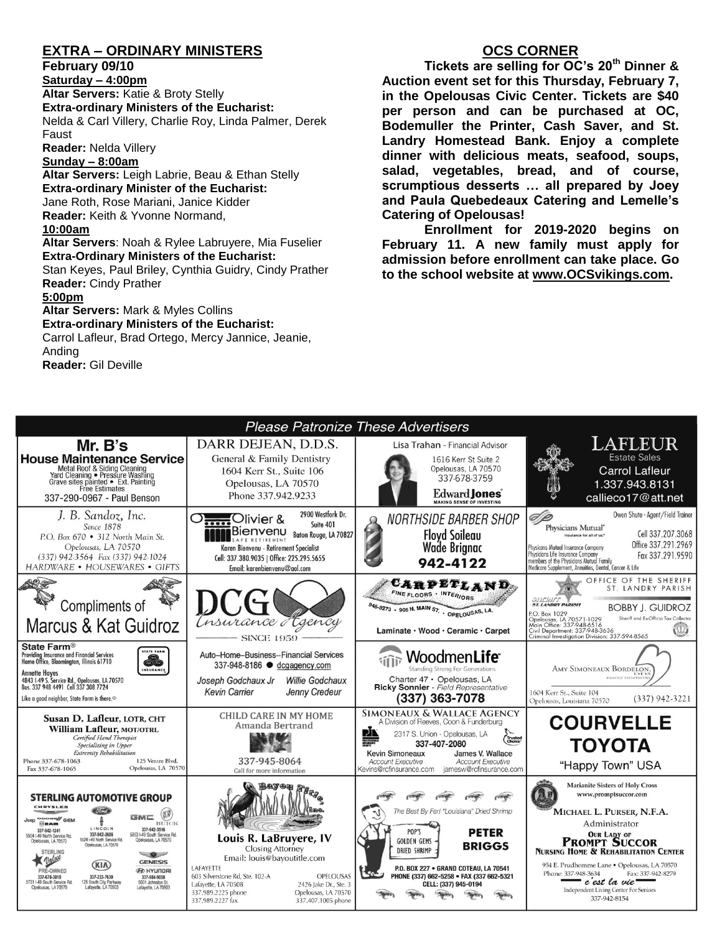### **EXTRA – ORDINARY MINISTERS**

#### **February 09/10**

**Saturday – 4:00pm Altar Servers:** Katie & Broty Stelly **Extra-ordinary Ministers of the Eucharist:**  Nelda & Carl Villery, Charlie Roy, Linda Palmer, Derek Faust

**Reader:** Nelda Villery

#### **Sunday – 8:00am**

**Altar Servers:** Leigh Labrie, Beau & Ethan Stelly **Extra-ordinary Minister of the Eucharist:** Jane Roth, Rose Mariani, Janice Kidder **Reader:** Keith & Yvonne Normand, **10:00am**

**Altar Servers**: Noah & Rylee Labruyere, Mia Fuselier **Extra-Ordinary Ministers of the Eucharist:**

Stan Keyes, Paul Briley, Cynthia Guidry, Cindy Prather **Reader:** Cindy Prather

#### **5:00pm**

**Altar Servers:** Mark & Myles Collins **Extra-ordinary Ministers of the Eucharist:**

Carrol Lafleur, Brad Ortego, Mercy Jannice, Jeanie, Anding **Reader:** Gil Deville

### **OCS CORNER**

**Tickets are selling for OC's 20th Dinner & Auction event set for this Thursday, February 7, in the Opelousas Civic Center. Tickets are \$40 per person and can be purchased at OC, Bodemuller the Printer, Cash Saver, and St. Landry Homestead Bank. Enjoy a complete dinner with delicious meats, seafood, soups, salad, vegetables, bread, and of course, scrumptious desserts … all prepared by Joey and Paula Quebedeaux Catering and Lemelle's Catering of Opelousas!**

**Enrollment for 2019-2020 begins on February 11. A new family must apply for admission before enrollment can take place. Go to the school website at [www.OCSvikings.com.](http://www.ocsvikings.com/)**